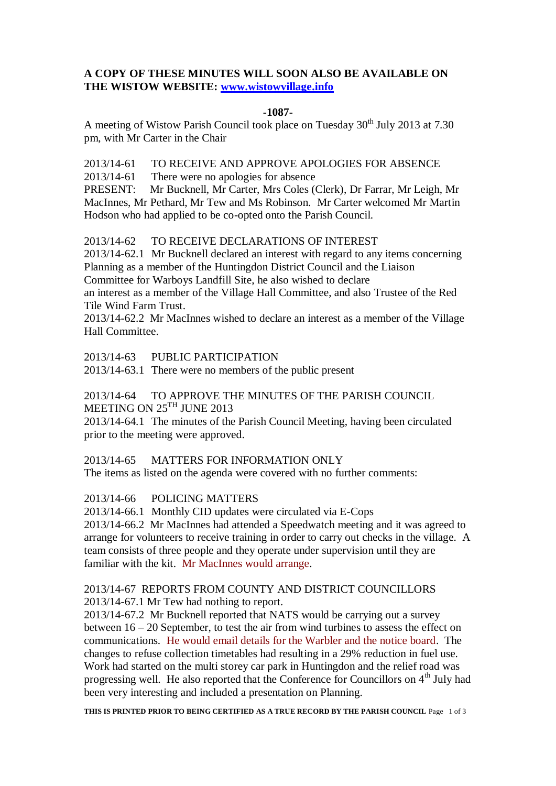## **A COPY OF THESE MINUTES WILL SOON ALSO BE AVAILABLE ON THE WISTOW WEBSITE: [www.wistowvillage.info](http://www.wistowvillage.info/)**

### **-1087-**

A meeting of Wistow Parish Council took place on Tuesday  $30<sup>th</sup>$  July 2013 at 7.30 pm, with Mr Carter in the Chair

2013/14-61 TO RECEIVE AND APPROVE APOLOGIES FOR ABSENCE

2013/14-61 There were no apologies for absence

PRESENT: Mr Bucknell, Mr Carter, Mrs Coles (Clerk), Dr Farrar, Mr Leigh, Mr MacInnes, Mr Pethard, Mr Tew and Ms Robinson. Mr Carter welcomed Mr Martin Hodson who had applied to be co-opted onto the Parish Council.

### 2013/14-62 TO RECEIVE DECLARATIONS OF INTEREST

2013/14-62.1 Mr Bucknell declared an interest with regard to any items concerning Planning as a member of the Huntingdon District Council and the Liaison Committee for Warboys Landfill Site, he also wished to declare an interest as a member of the Village Hall Committee, and also Trustee of the Red Tile Wind Farm Trust.

2013/14-62.2 Mr MacInnes wished to declare an interest as a member of the Village Hall Committee.

2013/14-63 PUBLIC PARTICIPATION

2013/14-63.1 There were no members of the public present

2013/14-64 TO APPROVE THE MINUTES OF THE PARISH COUNCIL MEETING ON 25<sup>TH</sup> JUNE 2013

2013/14-64.1 The minutes of the Parish Council Meeting, having been circulated prior to the meeting were approved.

2013/14-65 MATTERS FOR INFORMATION ONLY

The items as listed on the agenda were covered with no further comments:

### 2013/14-66 POLICING MATTERS

2013/14-66.1 Monthly CID updates were circulated via E-Cops 2013/14-66.2 Mr MacInnes had attended a Speedwatch meeting and it was agreed to arrange for volunteers to receive training in order to carry out checks in the village. A team consists of three people and they operate under supervision until they are familiar with the kit. Mr MacInnes would arrange.

### 2013/14-67 REPORTS FROM COUNTY AND DISTRICT COUNCILLORS 2013/14-67.1 Mr Tew had nothing to report.

2013/14-67.2 Mr Bucknell reported that NATS would be carrying out a survey between 16 – 20 September, to test the air from wind turbines to assess the effect on communications. He would email details for the Warbler and the notice board. The changes to refuse collection timetables had resulting in a 29% reduction in fuel use. Work had started on the multi storey car park in Huntingdon and the relief road was progressing well. He also reported that the Conference for Councillors on 4<sup>th</sup> July had been very interesting and included a presentation on Planning.

**THIS IS PRINTED PRIOR TO BEING CERTIFIED AS A TRUE RECORD BY THE PARISH COUNCIL** Page 1 of 3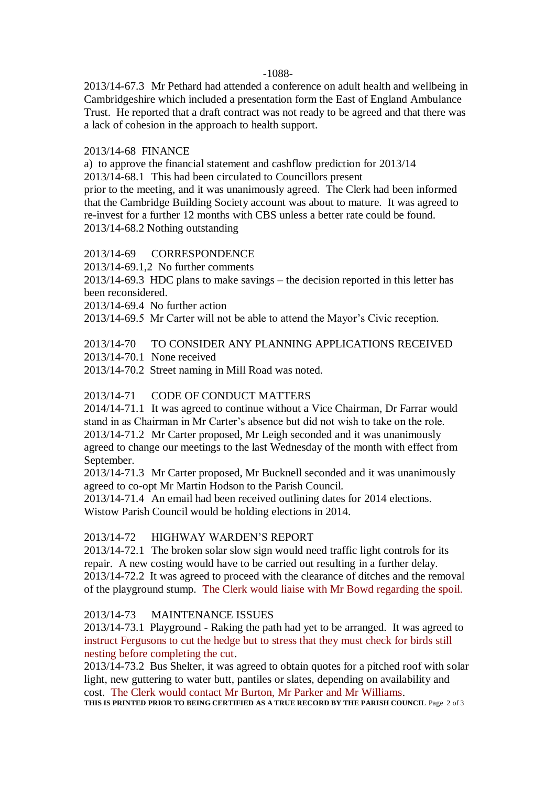-1088-

2013/14-67.3 Mr Pethard had attended a conference on adult health and wellbeing in Cambridgeshire which included a presentation form the East of England Ambulance Trust. He reported that a draft contract was not ready to be agreed and that there was a lack of cohesion in the approach to health support.

## 2013/14-68 FINANCE

a) to approve the financial statement and cashflow prediction for 2013/14

2013/14-68.1 This had been circulated to Councillors present

prior to the meeting, and it was unanimously agreed. The Clerk had been informed that the Cambridge Building Society account was about to mature. It was agreed to re-invest for a further 12 months with CBS unless a better rate could be found. 2013/14-68.2 Nothing outstanding

## 2013/14-69 CORRESPONDENCE

2013/14-69.1,2 No further comments

2013/14-69.3 HDC plans to make savings – the decision reported in this letter has been reconsidered.

2013/14-69.4 No further action

2013/14-69.5 Mr Carter will not be able to attend the Mayor's Civic reception.

# 2013/14-70 TO CONSIDER ANY PLANNING APPLICATIONS RECEIVED

2013/14-70.1 None received

2013/14-70.2 Street naming in Mill Road was noted.

# 2013/14-71 CODE OF CONDUCT MATTERS

2014/14-71.1 It was agreed to continue without a Vice Chairman, Dr Farrar would stand in as Chairman in Mr Carter's absence but did not wish to take on the role. 2013/14-71.2 Mr Carter proposed, Mr Leigh seconded and it was unanimously agreed to change our meetings to the last Wednesday of the month with effect from September.

2013/14-71.3 Mr Carter proposed, Mr Bucknell seconded and it was unanimously agreed to co-opt Mr Martin Hodson to the Parish Council.

2013/14-71.4 An email had been received outlining dates for 2014 elections. Wistow Parish Council would be holding elections in 2014.

# 2013/14-72 HIGHWAY WARDEN'S REPORT

2013/14-72.1 The broken solar slow sign would need traffic light controls for its repair. A new costing would have to be carried out resulting in a further delay. 2013/14-72.2 It was agreed to proceed with the clearance of ditches and the removal of the playground stump. The Clerk would liaise with Mr Bowd regarding the spoil.

# 2013/14-73 MAINTENANCE ISSUES

2013/14-73.1 Playground - Raking the path had yet to be arranged. It was agreed to instruct Fergusons to cut the hedge but to stress that they must check for birds still nesting before completing the cut.

2013/14-73.2 Bus Shelter, it was agreed to obtain quotes for a pitched roof with solar light, new guttering to water butt, pantiles or slates, depending on availability and cost. The Clerk would contact Mr Burton, Mr Parker and Mr Williams.

**THIS IS PRINTED PRIOR TO BEING CERTIFIED AS A TRUE RECORD BY THE PARISH COUNCIL** Page 2 of 3